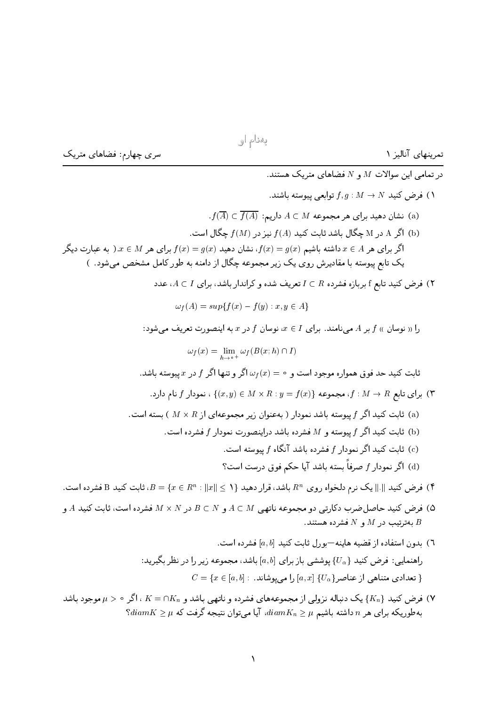سری چهارم: فضاهای متریک

در تمامی این سوالات  $M$  و  $N$  فضاهای متریک هستند. ، فرض کنید  $N \rightarrow N$  :  $f,g: M \rightarrow N$  توابعی پیوسته باشند.  $f(\overline{A})\subset \overline{f(A)}$  نشان دهید برای هر مجموعه  $A\subset M$  داریم: (a) اگر A در M چگال باشد ثابت کنید  $f(A)$  نیز در  $f(M)$  چگال است. (b) اگر برای هر  $A \in \mathcal{A}$  داشته باشیم ( $g(x) = f(x) = f(x)$ ، نشان دهید ( $f(x) = g(x)$  برای هر  $x \in M$  به عبارت دیگر یک تابع پیوسته با مقادیرش روی یک زیر مجموعه چگال از دامنه به طور کامل مشخص می شود. ) ) فرض کنید تابع f بربازه فشرده  $I\subset R$  تعریف شده و کراندار باشد، برای  $I\subset I$ ، عدد  $\omega_f(A) = \sup\{f(x) - f(y) : x, y \in A\}$ را « نوسان »  $f$  بر A می نامند. برای  $I$  ) ، نوسان  $f$  در  $x$  به اینصورت تعریف می شود:  $\omega_f(x) = \lim_{h \to 0^+} \omega_f(B(x; h) \cap I)$ ثابت کنید حد فوق همواره موجود است و $\omega_f(x)=\omega_f(x)$ اگر و تنها اگر  $f$  در  $x$  پیوسته باشد. برای تابع  $f: M \to \{ (x,y) \in M \times R : y = f(x) \}$ ، مجموعه  $f: M \to R$  )، نمودار  $f$  نام دارد. ابسته است. (a) شابت کنید اگر  $f$  پیوسته باشد نمودار ( بهعنوان زیر مجموعهای از  $R \times R$  ) بسته است. شابت کنید اگر  $f$  پیوسته و M فشرده باشد دراینصورت نمودار f فشرده است. ابت کنید اگر نمودار  $f$  فشرده باشد آنگاه  $f$  پیوسته است. (c) اگر نمودار  $f$  صرفاً بسته باشد آیا حکم فوق درست است؟  $f$  (d) ا فرض کنید  $\|\ .\|$  یک نرم دلخواه روی  $R^n$  باشد، قرار دهید  $\{x\in\{x\mid x\mid x\in\mathbb{R}^n: \|x\|\leq s\}$ ، ثابت کنید  $\mathbf B$  فشرده است. ه) فرض کنید حاصل ضرب دکارتی دو مجموعه ناتهی  $A \subset M$  و  $B \subset N$  در  $M \times N$  فشرده است، ثابت کنید  $A$  و  $\emptyset$ بهترتیب در  $M$  و  $N$  فشرده هستند.  $B$ .<br>٦) بدون استفاده از قضیه هاینه-بورل ثابت کنید [a, b] فشرده است. راهنمایی: فرض کنید  $\{U_\alpha\}$  پوششی باز برای  $[a,b]$  باشد، مجموعه زیر را در نظر بگیرید:  $C = \{x \in [a, b] : ...$ تعدادی متناهی از عناصر $\{U_{\alpha}\}$   $[a, x]$  را می یوشاند

باشد دنباله نزولی از مجموعههای فشرده و ناتهی باشد و  $K=\cap K_n$  اگر موجود باشد ( $K=0$  $\mathrm{S}diam\, K\geq\mu$  بهطوریکه برای هر  $n$  داشته باشیم  $\mu\geq diam\, K_{n}\geq\mu$  ،  $diam\, K_{n}\geq\mu$ 

تمرینهای آنالیز ۱